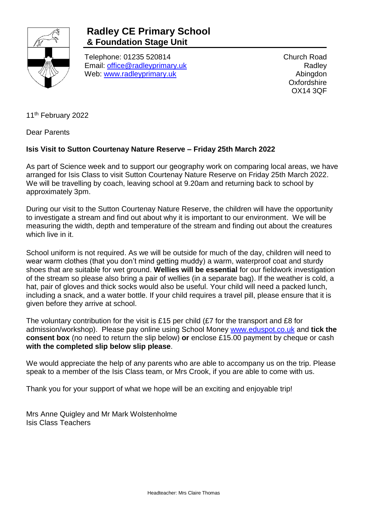

## **Radley CE Primary School & Foundation Stage Unit**

Telephone: 01235 520814 Email: [office@radleyprimary.uk](mailto:office@radleyprimary.uk) Web: [www.radleyprimary.uk](http://www.radleyprimary.uk/)

Church Road **Radley** Abingdon **Oxfordshire** OX14 3QF

11<sup>th</sup> February 2022

Dear Parents

## **Isis Visit to Sutton Courtenay Nature Reserve – Friday 25th March 2022**

As part of Science week and to support our geography work on comparing local areas, we have arranged for Isis Class to visit Sutton Courtenay Nature Reserve on Friday 25th March 2022. We will be travelling by coach, leaving school at 9.20am and returning back to school by approximately 3pm.

During our visit to the Sutton Courtenay Nature Reserve, the children will have the opportunity to investigate a stream and find out about why it is important to our environment. We will be measuring the width, depth and temperature of the stream and finding out about the creatures which live in it.

School uniform is not required. As we will be outside for much of the day, children will need to wear warm clothes (that you don't mind getting muddy) a warm, waterproof coat and sturdy shoes that are suitable for wet ground. **Wellies will be essential** for our fieldwork investigation of the stream so please also bring a pair of wellies (in a separate bag). If the weather is cold, a hat, pair of gloves and thick socks would also be useful. Your child will need a packed lunch, including a snack, and a water bottle. If your child requires a travel pill, please ensure that it is given before they arrive at school.

The voluntary contribution for the visit is £15 per child (£7 for the transport and £8 for admission/workshop). Please pay online using School Money [www.eduspot.co.uk](http://www.eduspot.co.uk/) and **tick the consent box** (no need to return the slip below) **or** enclose £15.00 payment by cheque or cash **with the completed slip below slip please**.

We would appreciate the help of any parents who are able to accompany us on the trip. Please speak to a member of the Isis Class team, or Mrs Crook, if you are able to come with us.

Thank you for your support of what we hope will be an exciting and enjoyable trip!

Mrs Anne Quigley and Mr Mark Wolstenholme Isis Class Teachers